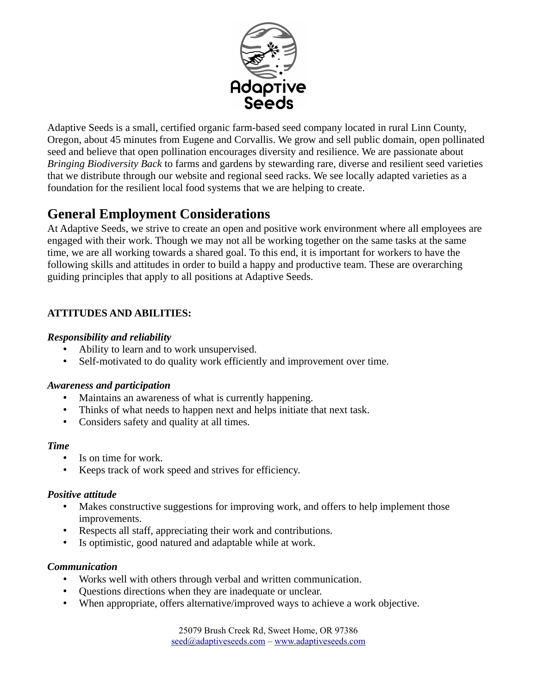

Adaptive Seeds is a small, certified organic farm-based seed company located in rural Linn County, Oregon, about 45 minutes from Eugene and Corvallis. We grow and sell public domain, open pollinated seed and believe that open pollination encourages diversity and resilience. We are passionate about *Bringing Biodiversity Back* to farms and gardens by stewarding rare, diverse and resilient seed varieties that we distribute through our website and regional seed racks. We see locally adapted varieties as a foundation for the resilient local food systems that we are helping to create.

# **General Employment Considerations**

At Adaptive Seeds, we strive to create an open and positive work environment where all employees are engaged with their work. Though we may not all be working together on the same tasks at the same time, we are all working towards a shared goal. To this end, it is important for workers to have the following skills and attitudes in order to build a happy and productive team. These are overarching guiding principles that apply to all positions at Adaptive Seeds.

# **ATTITUDES AND ABILITIES:**

## *Responsibility and reliability*

- Ability to learn and to work unsupervised.
- Self-motivated to do quality work efficiently and improvement over time.

## *Awareness and participation*

- Maintains an awareness of what is currently happening.
- Thinks of what needs to happen next and helps initiate that next task.
- Considers safety and quality at all times.

#### *Time*

- Is on time for work.
- Keeps track of work speed and strives for efficiency.

## *Positive attitude*

- Makes constructive suggestions for improving work, and offers to help implement those improvements.
- Respects all staff, appreciating their work and contributions.
- Is optimistic, good natured and adaptable while at work.

## *Communication*

- Works well with others through verbal and written communication.
- Questions directions when they are inadequate or unclear.
- When appropriate, offers alternative/improved ways to achieve a work objective.